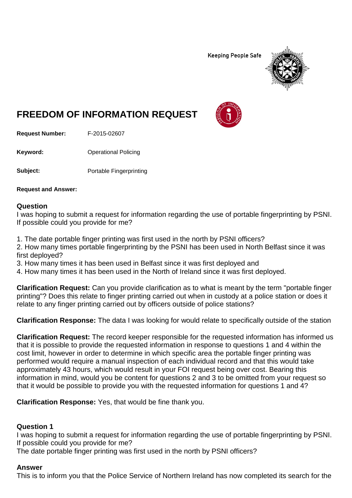**Keeping People Safe** 



# **FREEDOM OF INFORMATION REQUEST**

**Request Number:** F-2015-02607

**Keyword:** Operational Policing

**Subject:** Portable Fingerprinting

**Request and Answer:**

#### **Question**

I was hoping to submit a request for information regarding the use of portable fingerprinting by PSNI. If possible could you provide for me?

1. The date portable finger printing was first used in the north by PSNI officers?

2. How many times portable fingerprinting by the PSNI has been used in North Belfast since it was first deployed?

3. How many times it has been used in Belfast since it was first deployed and

4. How many times it has been used in the North of Ireland since it was first deployed.

**Clarification Request:** Can you provide clarification as to what is meant by the term "portable finger printing"? Does this relate to finger printing carried out when in custody at a police station or does it relate to any finger printing carried out by officers outside of police stations?

**Clarification Response:** The data I was looking for would relate to specifically outside of the station

**Clarification Request:** The record keeper responsible for the requested information has informed us that it is possible to provide the requested information in response to questions 1 and 4 within the cost limit, however in order to determine in which specific area the portable finger printing was performed would require a manual inspection of each individual record and that this would take approximately 43 hours, which would result in your FOI request being over cost. Bearing this information in mind, would you be content for questions 2 and 3 to be omitted from your request so that it would be possible to provide you with the requested information for questions 1 and 4?

**Clarification Response:** Yes, that would be fine thank you.

#### **Question 1**

I was hoping to submit a request for information regarding the use of portable fingerprinting by PSNI. If possible could you provide for me?

The date portable finger printing was first used in the north by PSNI officers?

#### **Answer**

This is to inform you that the Police Service of Northern Ireland has now completed its search for the